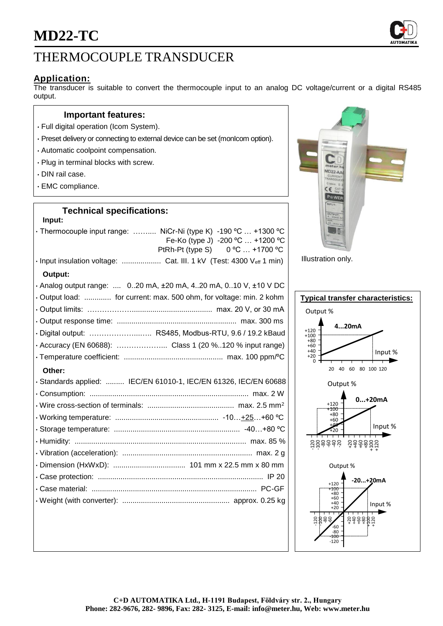

## THERMOCOUPLE TRANSDUCER

## **Application:**

The transducer is suitable to convert the thermocouple input to an analog DC voltage/current or a digital RS485 output.

#### **Important features:**

- Full digital operation (Icom System).
- Preset delivery or connecting to external device can be set (monIcom option).
- Automatic coolpoint compensation.
- Plug in terminal blocks with screw.
- DIN rail case.
- EMC compliance.

## **Technical specifications:**

| Input:                                                                                              |
|-----------------------------------------------------------------------------------------------------|
| • Thermocouple input range:  NiCr-Ni (type K) -190 °C  +1300 °C<br>Fe-Ko (type J) -200 °C  +1200 °C |
| PtRh-Pt (type S) 0 °C  +1700 °C                                                                     |
|                                                                                                     |
| Output:                                                                                             |
| . Analog output range:  020 mA, ±20 mA, 420 mA, 010 V, ±10 V DC                                     |
| • Output load:  for current: max. 500 ohm, for voltage: min. 2 kohm                                 |
|                                                                                                     |
|                                                                                                     |
| · Digital output:  RS485, Modbus-RTU, 9.6 / 19.2 kBaud                                              |
|                                                                                                     |
|                                                                                                     |
| Other:                                                                                              |
| · Standards applied:  IEC/EN 61010-1, IEC/EN 61326, IEC/EN 60688                                    |
|                                                                                                     |
|                                                                                                     |
|                                                                                                     |
|                                                                                                     |
|                                                                                                     |
|                                                                                                     |
|                                                                                                     |
|                                                                                                     |
|                                                                                                     |
|                                                                                                     |
|                                                                                                     |



Illustration only.